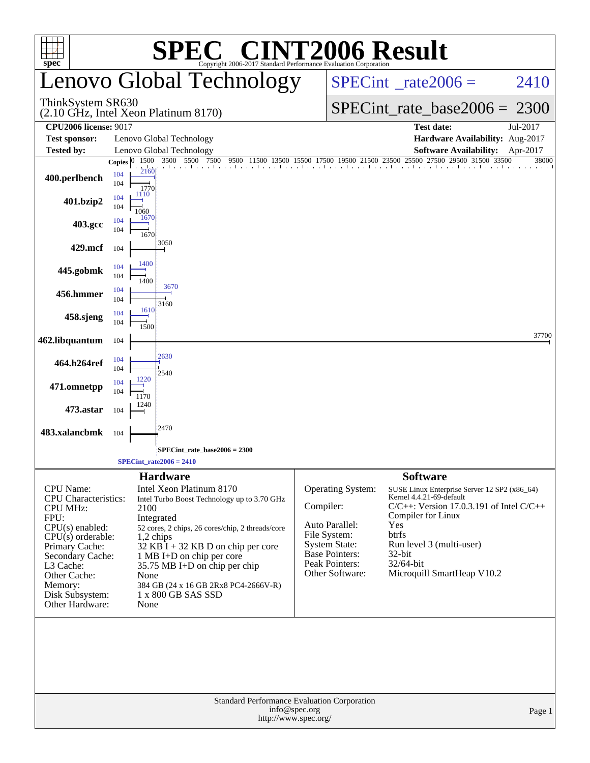| <b>C® CINT2006 Result</b><br>SPE<br>Copyright 2006-2017 Standard Performance Evaluation Corporation                                                                                                                                 |              |                                     |                                                                                                                                                                                                                                                                                                                                  |               |                                                                                                                                           |                                                                                                                                      |                                                                                                                             |          |  |  |  |
|-------------------------------------------------------------------------------------------------------------------------------------------------------------------------------------------------------------------------------------|--------------|-------------------------------------|----------------------------------------------------------------------------------------------------------------------------------------------------------------------------------------------------------------------------------------------------------------------------------------------------------------------------------|---------------|-------------------------------------------------------------------------------------------------------------------------------------------|--------------------------------------------------------------------------------------------------------------------------------------|-----------------------------------------------------------------------------------------------------------------------------|----------|--|--|--|
| spec <sup>®</sup>                                                                                                                                                                                                                   |              |                                     | enovo Global Technology                                                                                                                                                                                                                                                                                                          |               | $SPECint^{\circ}$ rate $2006 =$<br>2410                                                                                                   |                                                                                                                                      |                                                                                                                             |          |  |  |  |
| ThinkSystem SR630<br>(2.10 GHz, Intel Xeon Platinum 8170)                                                                                                                                                                           |              |                                     |                                                                                                                                                                                                                                                                                                                                  |               |                                                                                                                                           |                                                                                                                                      | $SPECint_rate_base2006 = 2300$                                                                                              |          |  |  |  |
| <b>CPU2006 license: 9017</b>                                                                                                                                                                                                        |              |                                     |                                                                                                                                                                                                                                                                                                                                  |               |                                                                                                                                           | <b>Test date:</b>                                                                                                                    |                                                                                                                             | Jul-2017 |  |  |  |
| <b>Test sponsor:</b><br><b>Tested by:</b>                                                                                                                                                                                           |              |                                     | Lenovo Global Technology<br>Lenovo Global Technology                                                                                                                                                                                                                                                                             |               | Hardware Availability: Aug-2017<br><b>Software Availability:</b><br>Apr-2017                                                              |                                                                                                                                      |                                                                                                                             |          |  |  |  |
|                                                                                                                                                                                                                                     | Copies $ 0 $ | 1500                                | 9500 11500 13500 15500 17500 19500 21500 23500 25500 27500 29500 31500 33500<br>3500 5500 7500                                                                                                                                                                                                                                   |               |                                                                                                                                           |                                                                                                                                      |                                                                                                                             | 38000    |  |  |  |
| 400.perlbench                                                                                                                                                                                                                       | 104<br>104   | 2160<br>1770                        |                                                                                                                                                                                                                                                                                                                                  |               |                                                                                                                                           |                                                                                                                                      |                                                                                                                             |          |  |  |  |
| 401.bzip2                                                                                                                                                                                                                           | 104<br>104   | 1110<br>1060                        |                                                                                                                                                                                                                                                                                                                                  |               |                                                                                                                                           |                                                                                                                                      |                                                                                                                             |          |  |  |  |
| 403.gcc                                                                                                                                                                                                                             | 104<br>104   | 1670<br>1670                        |                                                                                                                                                                                                                                                                                                                                  |               |                                                                                                                                           |                                                                                                                                      |                                                                                                                             |          |  |  |  |
| 429.mcf                                                                                                                                                                                                                             | 104          |                                     | 3050                                                                                                                                                                                                                                                                                                                             |               |                                                                                                                                           |                                                                                                                                      |                                                                                                                             |          |  |  |  |
| 445.gobmk                                                                                                                                                                                                                           | 104<br>104   | 1400<br>1400                        |                                                                                                                                                                                                                                                                                                                                  |               |                                                                                                                                           |                                                                                                                                      |                                                                                                                             |          |  |  |  |
| 456.hmmer                                                                                                                                                                                                                           | 104<br>104   |                                     | 3670                                                                                                                                                                                                                                                                                                                             |               |                                                                                                                                           |                                                                                                                                      |                                                                                                                             |          |  |  |  |
| 458.sjeng                                                                                                                                                                                                                           | 104<br>104   | 1610<br>1500                        | 3160                                                                                                                                                                                                                                                                                                                             |               |                                                                                                                                           |                                                                                                                                      |                                                                                                                             |          |  |  |  |
| 462.libquantum                                                                                                                                                                                                                      | 104          |                                     |                                                                                                                                                                                                                                                                                                                                  |               |                                                                                                                                           |                                                                                                                                      |                                                                                                                             | 37700    |  |  |  |
| 464.h264ref                                                                                                                                                                                                                         | 104<br>104   |                                     | 2630                                                                                                                                                                                                                                                                                                                             |               |                                                                                                                                           |                                                                                                                                      |                                                                                                                             |          |  |  |  |
| 471.omnetpp                                                                                                                                                                                                                         | 104<br>104   | 1220<br>1170                        | 2540                                                                                                                                                                                                                                                                                                                             |               |                                                                                                                                           |                                                                                                                                      |                                                                                                                             |          |  |  |  |
| 473.astar                                                                                                                                                                                                                           | 104          | 1240                                |                                                                                                                                                                                                                                                                                                                                  |               |                                                                                                                                           |                                                                                                                                      |                                                                                                                             |          |  |  |  |
| 483.xalancbmk                                                                                                                                                                                                                       | 104          |                                     | 2470                                                                                                                                                                                                                                                                                                                             |               |                                                                                                                                           |                                                                                                                                      |                                                                                                                             |          |  |  |  |
|                                                                                                                                                                                                                                     |              |                                     | SPECint_rate_base2006 = 2300                                                                                                                                                                                                                                                                                                     |               |                                                                                                                                           |                                                                                                                                      |                                                                                                                             |          |  |  |  |
|                                                                                                                                                                                                                                     |              |                                     | SPECint rate $2006 = 2410$                                                                                                                                                                                                                                                                                                       |               |                                                                                                                                           |                                                                                                                                      |                                                                                                                             |          |  |  |  |
| CPU Name:<br><b>CPU</b> Characteristics:<br><b>CPU MHz:</b><br>FPU:<br>$CPU(s)$ enabled:<br>$CPU(s)$ orderable:<br>Primary Cache:<br>Secondary Cache:<br>L3 Cache:<br>Other Cache:<br>Memory:<br>Disk Subsystem:<br>Other Hardware: |              | 2100<br>$1,2$ chips<br>None<br>None | <b>Hardware</b><br>Intel Xeon Platinum 8170<br>Intel Turbo Boost Technology up to 3.70 GHz<br>Integrated<br>52 cores, 2 chips, 26 cores/chip, 2 threads/core<br>$32$ KB I + 32 KB D on chip per core<br>1 MB I+D on chip per core<br>35.75 MB I+D on chip per chip<br>384 GB (24 x 16 GB 2Rx8 PC4-2666V-R)<br>1 x 800 GB SAS SSD | Compiler:     | Operating System:<br>Auto Parallel:<br>File System:<br><b>System State:</b><br><b>Base Pointers:</b><br>Peak Pointers:<br>Other Software: | <b>Software</b><br>Kernel 4.4.21-69-default<br>Compiler for Linux<br>Yes<br>btrfs<br>Run level 3 (multi-user)<br>32-bit<br>32/64-bit | SUSE Linux Enterprise Server 12 SP2 (x86_64)<br>$C/C++$ : Version 17.0.3.191 of Intel $C/C++$<br>Microquill SmartHeap V10.2 |          |  |  |  |
|                                                                                                                                                                                                                                     |              |                                     | Standard Performance Evaluation Corporation<br>http://www.spec.org/                                                                                                                                                                                                                                                              | info@spec.org |                                                                                                                                           |                                                                                                                                      |                                                                                                                             | Page 1   |  |  |  |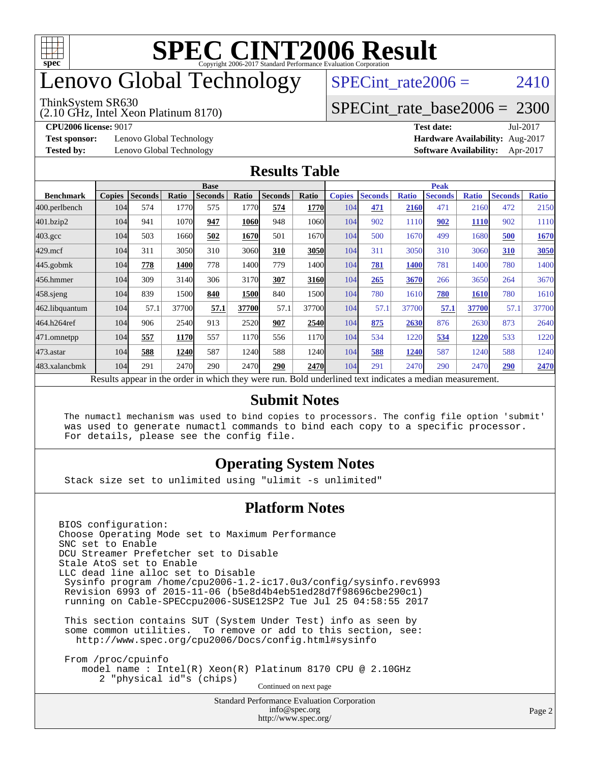

# enovo Global Technology

#### ThinkSystem SR630

(2.10 GHz, Intel Xeon Platinum 8170)

SPECint rate $2006 = 2410$ 

#### [SPECint\\_rate\\_base2006 =](http://www.spec.org/auto/cpu2006/Docs/result-fields.html#SPECintratebase2006) 2300

**[Test sponsor:](http://www.spec.org/auto/cpu2006/Docs/result-fields.html#Testsponsor)** Lenovo Global Technology **[Hardware Availability:](http://www.spec.org/auto/cpu2006/Docs/result-fields.html#HardwareAvailability)** Aug-2017

**[CPU2006 license:](http://www.spec.org/auto/cpu2006/Docs/result-fields.html#CPU2006license)** 9017 **[Test date:](http://www.spec.org/auto/cpu2006/Docs/result-fields.html#Testdate)** Jul-2017 **[Tested by:](http://www.spec.org/auto/cpu2006/Docs/result-fields.html#Testedby)** Lenovo Global Technology **[Software Availability:](http://www.spec.org/auto/cpu2006/Docs/result-fields.html#SoftwareAvailability)** Apr-2017

#### **[Results Table](http://www.spec.org/auto/cpu2006/Docs/result-fields.html#ResultsTable)**

|                                                                                                          | <b>Base</b>   |                |       |                |       |                |       | <b>Peak</b>   |                |              |                |              |                |              |
|----------------------------------------------------------------------------------------------------------|---------------|----------------|-------|----------------|-------|----------------|-------|---------------|----------------|--------------|----------------|--------------|----------------|--------------|
| <b>Benchmark</b>                                                                                         | <b>Copies</b> | <b>Seconds</b> | Ratio | <b>Seconds</b> | Ratio | <b>Seconds</b> | Ratio | <b>Copies</b> | <b>Seconds</b> | <b>Ratio</b> | <b>Seconds</b> | <b>Ratio</b> | <b>Seconds</b> | <b>Ratio</b> |
| 400.perlbench                                                                                            | 104           | 574            | 1770  | 575            | 1770  | 574            | 1770  | 104           | 471            | 2160         | 471            | 2160         | 472            | 2150         |
| 401.bzip2                                                                                                | 104           | 941            | 1070  | 947            | 1060  | 948            | 1060  | 104           | 902            | 1110         | 902            | 1110         | 902            | 1110         |
| $403.\mathrm{gcc}$                                                                                       | 104           | 503            | 1660  | 502            | 1670  | 501            | 1670  | 104           | 500            | 1670         | 499            | 1680         | 500            | 1670         |
| $429$ .mcf                                                                                               | 104           | 311            | 3050  | 310            | 3060  | 310            | 3050  | 104           | 311            | 3050         | 310            | 3060         | 310            | 3050         |
| $445$ .gobmk                                                                                             | 104           | 778            | 1400  | 778            | 1400  | 779            | 1400  | 104           | 781            | <b>1400</b>  | 781            | 1400         | 780            | 1400         |
| 456.hmmer                                                                                                | 104           | 309            | 3140  | 306            | 3170  | 307            | 3160  | 104           | 265            | 3670         | 266            | 3650         | 264            | 3670         |
| $458$ .sjeng                                                                                             | 104           | 839            | 1500  | 840            | 1500  | 840            | 1500  | 104           | 780            | 1610         | 780            | 1610         | 780            | 1610         |
| 462.libquantum                                                                                           | 104           | 57.1           | 37700 | 57.1           | 37700 | 57.1           | 37700 | 104           | 57.1           | 37700        | 57.1           | 37700        | 57.1           | 37700        |
| 464.h264ref                                                                                              | 104           | 906            | 2540  | 913            | 2520  | 907            | 2540  | 104           | 875            | 2630         | 876            | 2630         | 873            | 2640         |
| 471.omnetpp                                                                                              | 104           | 557            | 1170  | 557            | 1170  | 556            | 1170  | 104           | 534            | 1220         | 534            | 1220         | 533            | 1220         |
| $473$ . astar                                                                                            | 104           | 588            | 1240  | 587            | 1240  | 588            | 1240  | 104           | 588            | 1240         | 587            | 1240         | 588            | 1240         |
| 483.xalancbmk                                                                                            | 104           | 291            | 2470  | 290            | 2470  | 290            | 2470  | 104           | 291            | 2470         | 290            | 2470         | 290            | 2470         |
| Results appear in the order in which they were run. Bold underlined text indicates a median measurement. |               |                |       |                |       |                |       |               |                |              |                |              |                |              |

#### **[Submit Notes](http://www.spec.org/auto/cpu2006/Docs/result-fields.html#SubmitNotes)**

 The numactl mechanism was used to bind copies to processors. The config file option 'submit' was used to generate numactl commands to bind each copy to a specific processor. For details, please see the config file.

#### **[Operating System Notes](http://www.spec.org/auto/cpu2006/Docs/result-fields.html#OperatingSystemNotes)**

Stack size set to unlimited using "ulimit -s unlimited"

#### **[Platform Notes](http://www.spec.org/auto/cpu2006/Docs/result-fields.html#PlatformNotes)**

Standard Performance Evaluation Corporation [info@spec.org](mailto:info@spec.org) BIOS configuration: Choose Operating Mode set to Maximum Performance SNC set to Enable DCU Streamer Prefetcher set to Disable Stale AtoS set to Enable LLC dead line alloc set to Disable Sysinfo program /home/cpu2006-1.2-ic17.0u3/config/sysinfo.rev6993 Revision 6993 of 2015-11-06 (b5e8d4b4eb51ed28d7f98696cbe290c1) running on Cable-SPECcpu2006-SUSE12SP2 Tue Jul 25 04:58:55 2017 This section contains SUT (System Under Test) info as seen by some common utilities. To remove or add to this section, see: <http://www.spec.org/cpu2006/Docs/config.html#sysinfo> From /proc/cpuinfo model name : Intel(R) Xeon(R) Platinum 8170 CPU @ 2.10GHz 2 "physical id"s (chips) Continued on next page

<http://www.spec.org/>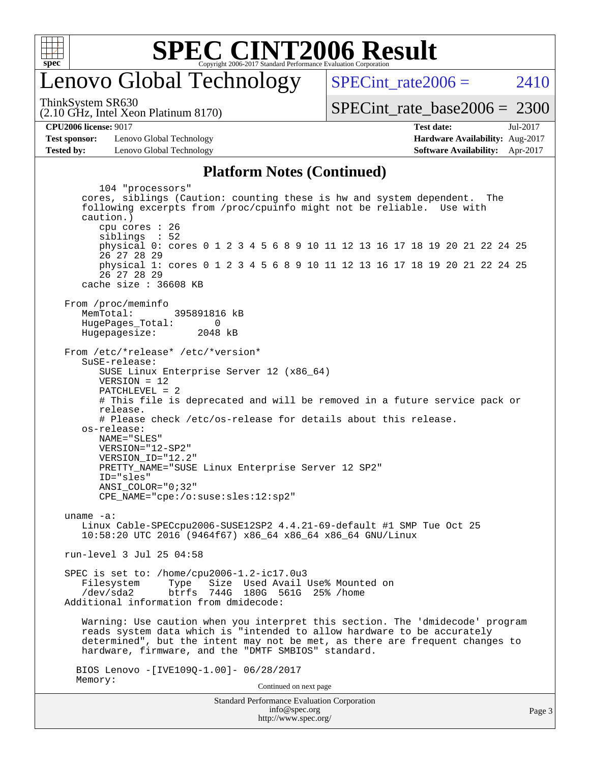

### enovo Global Technology

SPECint rate  $2006 = 2410$ 

(2.10 GHz, Intel Xeon Platinum 8170) ThinkSystem SR630

[SPECint\\_rate\\_base2006 =](http://www.spec.org/auto/cpu2006/Docs/result-fields.html#SPECintratebase2006) 2300

**[CPU2006 license:](http://www.spec.org/auto/cpu2006/Docs/result-fields.html#CPU2006license)** 9017 **[Test date:](http://www.spec.org/auto/cpu2006/Docs/result-fields.html#Testdate)** Jul-2017

**[Test sponsor:](http://www.spec.org/auto/cpu2006/Docs/result-fields.html#Testsponsor)** Lenovo Global Technology **[Hardware Availability:](http://www.spec.org/auto/cpu2006/Docs/result-fields.html#HardwareAvailability)** Aug-2017 **[Tested by:](http://www.spec.org/auto/cpu2006/Docs/result-fields.html#Testedby)** Lenovo Global Technology **[Software Availability:](http://www.spec.org/auto/cpu2006/Docs/result-fields.html#SoftwareAvailability)** Apr-2017

#### **[Platform Notes \(Continued\)](http://www.spec.org/auto/cpu2006/Docs/result-fields.html#PlatformNotes)**

Standard Performance Evaluation Corporation [info@spec.org](mailto:info@spec.org) 104 "processors" cores, siblings (Caution: counting these is hw and system dependent. The following excerpts from /proc/cpuinfo might not be reliable. Use with caution.) cpu cores : 26 siblings : 52 physical 0: cores 0 1 2 3 4 5 6 8 9 10 11 12 13 16 17 18 19 20 21 22 24 25 26 27 28 29 physical 1: cores 0 1 2 3 4 5 6 8 9 10 11 12 13 16 17 18 19 20 21 22 24 25 26 27 28 29 cache size : 36608 KB From /proc/meminfo MemTotal: 395891816 kB HugePages\_Total: 0<br>Hugepagesize: 2048 kB Hugepagesize: From /etc/\*release\* /etc/\*version\* SuSE-release: SUSE Linux Enterprise Server 12 (x86\_64) VERSION = 12 PATCHLEVEL = 2 # This file is deprecated and will be removed in a future service pack or release. # Please check /etc/os-release for details about this release. os-release: NAME="SLES" VERSION="12-SP2" VERSION\_ID="12.2" PRETTY\_NAME="SUSE Linux Enterprise Server 12 SP2" ID="sles" ANSI\_COLOR="0;32" CPE\_NAME="cpe:/o:suse:sles:12:sp2" uname -a: Linux Cable-SPECcpu2006-SUSE12SP2 4.4.21-69-default #1 SMP Tue Oct 25 10:58:20 UTC 2016 (9464f67) x86\_64 x86\_64 x86\_64 GNU/Linux run-level 3 Jul 25 04:58 SPEC is set to: /home/cpu2006-1.2-ic17.0u3 Filesystem Type Size Used Avail Use% Mounted on<br>
/dev/sda2 btrfs 744G 180G 561G 25% /home btrfs 744G 180G 561G 25% / home Additional information from dmidecode: Warning: Use caution when you interpret this section. The 'dmidecode' program reads system data which is "intended to allow hardware to be accurately determined", but the intent may not be met, as there are frequent changes to hardware, firmware, and the "DMTF SMBIOS" standard. BIOS Lenovo -[IVE109Q-1.00]- 06/28/2017 Memory: Continued on next page

<http://www.spec.org/>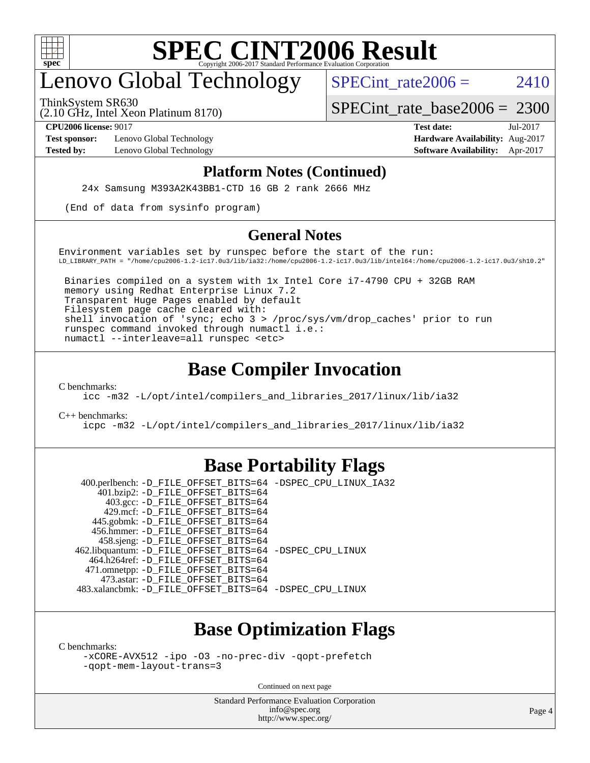

## enovo Global Technology

SPECint rate  $2006 = 2410$ 

(2.10 GHz, Intel Xeon Platinum 8170) ThinkSystem SR630

[SPECint\\_rate\\_base2006 =](http://www.spec.org/auto/cpu2006/Docs/result-fields.html#SPECintratebase2006) 2300

**[Test sponsor:](http://www.spec.org/auto/cpu2006/Docs/result-fields.html#Testsponsor)** Lenovo Global Technology **[Hardware Availability:](http://www.spec.org/auto/cpu2006/Docs/result-fields.html#HardwareAvailability)** Aug-2017

**[CPU2006 license:](http://www.spec.org/auto/cpu2006/Docs/result-fields.html#CPU2006license)** 9017 **[Test date:](http://www.spec.org/auto/cpu2006/Docs/result-fields.html#Testdate)** Jul-2017 **[Tested by:](http://www.spec.org/auto/cpu2006/Docs/result-fields.html#Testedby)** Lenovo Global Technology **[Software Availability:](http://www.spec.org/auto/cpu2006/Docs/result-fields.html#SoftwareAvailability)** Apr-2017

#### **[Platform Notes \(Continued\)](http://www.spec.org/auto/cpu2006/Docs/result-fields.html#PlatformNotes)**

24x Samsung M393A2K43BB1-CTD 16 GB 2 rank 2666 MHz

(End of data from sysinfo program)

#### **[General Notes](http://www.spec.org/auto/cpu2006/Docs/result-fields.html#GeneralNotes)**

Environment variables set by runspec before the start of the run: LD\_LIBRARY\_PATH = "/home/cpu2006-1.2-ic17.0u3/lib/ia32:/home/cpu2006-1.2-ic17.0u3/lib/intel64:/home/cpu2006-1.2-ic17.0u3/sh10.2"

 Binaries compiled on a system with 1x Intel Core i7-4790 CPU + 32GB RAM memory using Redhat Enterprise Linux 7.2 Transparent Huge Pages enabled by default Filesystem page cache cleared with: shell invocation of 'sync; echo 3 > /proc/sys/vm/drop\_caches' prior to run runspec command invoked through numactl i.e.: numactl --interleave=all runspec <etc>

#### **[Base Compiler Invocation](http://www.spec.org/auto/cpu2006/Docs/result-fields.html#BaseCompilerInvocation)**

[C benchmarks](http://www.spec.org/auto/cpu2006/Docs/result-fields.html#Cbenchmarks):

[icc -m32 -L/opt/intel/compilers\\_and\\_libraries\\_2017/linux/lib/ia32](http://www.spec.org/cpu2006/results/res2017q4/cpu2006-20170918-49582.flags.html#user_CCbase_intel_icc_c29f3ff5a7ed067b11e4ec10a03f03ae)

[C++ benchmarks:](http://www.spec.org/auto/cpu2006/Docs/result-fields.html#CXXbenchmarks)

[icpc -m32 -L/opt/intel/compilers\\_and\\_libraries\\_2017/linux/lib/ia32](http://www.spec.org/cpu2006/results/res2017q4/cpu2006-20170918-49582.flags.html#user_CXXbase_intel_icpc_8c35c7808b62dab9ae41a1aa06361b6b)

#### **[Base Portability Flags](http://www.spec.org/auto/cpu2006/Docs/result-fields.html#BasePortabilityFlags)**

 400.perlbench: [-D\\_FILE\\_OFFSET\\_BITS=64](http://www.spec.org/cpu2006/results/res2017q4/cpu2006-20170918-49582.flags.html#user_basePORTABILITY400_perlbench_file_offset_bits_64_438cf9856305ebd76870a2c6dc2689ab) [-DSPEC\\_CPU\\_LINUX\\_IA32](http://www.spec.org/cpu2006/results/res2017q4/cpu2006-20170918-49582.flags.html#b400.perlbench_baseCPORTABILITY_DSPEC_CPU_LINUX_IA32) 401.bzip2: [-D\\_FILE\\_OFFSET\\_BITS=64](http://www.spec.org/cpu2006/results/res2017q4/cpu2006-20170918-49582.flags.html#user_basePORTABILITY401_bzip2_file_offset_bits_64_438cf9856305ebd76870a2c6dc2689ab) 403.gcc: [-D\\_FILE\\_OFFSET\\_BITS=64](http://www.spec.org/cpu2006/results/res2017q4/cpu2006-20170918-49582.flags.html#user_basePORTABILITY403_gcc_file_offset_bits_64_438cf9856305ebd76870a2c6dc2689ab) 429.mcf: [-D\\_FILE\\_OFFSET\\_BITS=64](http://www.spec.org/cpu2006/results/res2017q4/cpu2006-20170918-49582.flags.html#user_basePORTABILITY429_mcf_file_offset_bits_64_438cf9856305ebd76870a2c6dc2689ab) 445.gobmk: [-D\\_FILE\\_OFFSET\\_BITS=64](http://www.spec.org/cpu2006/results/res2017q4/cpu2006-20170918-49582.flags.html#user_basePORTABILITY445_gobmk_file_offset_bits_64_438cf9856305ebd76870a2c6dc2689ab) 456.hmmer: [-D\\_FILE\\_OFFSET\\_BITS=64](http://www.spec.org/cpu2006/results/res2017q4/cpu2006-20170918-49582.flags.html#user_basePORTABILITY456_hmmer_file_offset_bits_64_438cf9856305ebd76870a2c6dc2689ab) 458.sjeng: [-D\\_FILE\\_OFFSET\\_BITS=64](http://www.spec.org/cpu2006/results/res2017q4/cpu2006-20170918-49582.flags.html#user_basePORTABILITY458_sjeng_file_offset_bits_64_438cf9856305ebd76870a2c6dc2689ab) 462.libquantum: [-D\\_FILE\\_OFFSET\\_BITS=64](http://www.spec.org/cpu2006/results/res2017q4/cpu2006-20170918-49582.flags.html#user_basePORTABILITY462_libquantum_file_offset_bits_64_438cf9856305ebd76870a2c6dc2689ab) [-DSPEC\\_CPU\\_LINUX](http://www.spec.org/cpu2006/results/res2017q4/cpu2006-20170918-49582.flags.html#b462.libquantum_baseCPORTABILITY_DSPEC_CPU_LINUX) 464.h264ref: [-D\\_FILE\\_OFFSET\\_BITS=64](http://www.spec.org/cpu2006/results/res2017q4/cpu2006-20170918-49582.flags.html#user_basePORTABILITY464_h264ref_file_offset_bits_64_438cf9856305ebd76870a2c6dc2689ab) 471.omnetpp: [-D\\_FILE\\_OFFSET\\_BITS=64](http://www.spec.org/cpu2006/results/res2017q4/cpu2006-20170918-49582.flags.html#user_basePORTABILITY471_omnetpp_file_offset_bits_64_438cf9856305ebd76870a2c6dc2689ab) 473.astar: [-D\\_FILE\\_OFFSET\\_BITS=64](http://www.spec.org/cpu2006/results/res2017q4/cpu2006-20170918-49582.flags.html#user_basePORTABILITY473_astar_file_offset_bits_64_438cf9856305ebd76870a2c6dc2689ab) 483.xalancbmk: [-D\\_FILE\\_OFFSET\\_BITS=64](http://www.spec.org/cpu2006/results/res2017q4/cpu2006-20170918-49582.flags.html#user_basePORTABILITY483_xalancbmk_file_offset_bits_64_438cf9856305ebd76870a2c6dc2689ab) [-DSPEC\\_CPU\\_LINUX](http://www.spec.org/cpu2006/results/res2017q4/cpu2006-20170918-49582.flags.html#b483.xalancbmk_baseCXXPORTABILITY_DSPEC_CPU_LINUX)

### **[Base Optimization Flags](http://www.spec.org/auto/cpu2006/Docs/result-fields.html#BaseOptimizationFlags)**

[C benchmarks](http://www.spec.org/auto/cpu2006/Docs/result-fields.html#Cbenchmarks):

[-xCORE-AVX512](http://www.spec.org/cpu2006/results/res2017q4/cpu2006-20170918-49582.flags.html#user_CCbase_f-xCORE-AVX512) [-ipo](http://www.spec.org/cpu2006/results/res2017q4/cpu2006-20170918-49582.flags.html#user_CCbase_f-ipo) [-O3](http://www.spec.org/cpu2006/results/res2017q4/cpu2006-20170918-49582.flags.html#user_CCbase_f-O3) [-no-prec-div](http://www.spec.org/cpu2006/results/res2017q4/cpu2006-20170918-49582.flags.html#user_CCbase_f-no-prec-div) [-qopt-prefetch](http://www.spec.org/cpu2006/results/res2017q4/cpu2006-20170918-49582.flags.html#user_CCbase_f-qopt-prefetch) [-qopt-mem-layout-trans=3](http://www.spec.org/cpu2006/results/res2017q4/cpu2006-20170918-49582.flags.html#user_CCbase_f-qopt-mem-layout-trans_170f5be61cd2cedc9b54468c59262d5d)

Continued on next page

Standard Performance Evaluation Corporation [info@spec.org](mailto:info@spec.org) <http://www.spec.org/>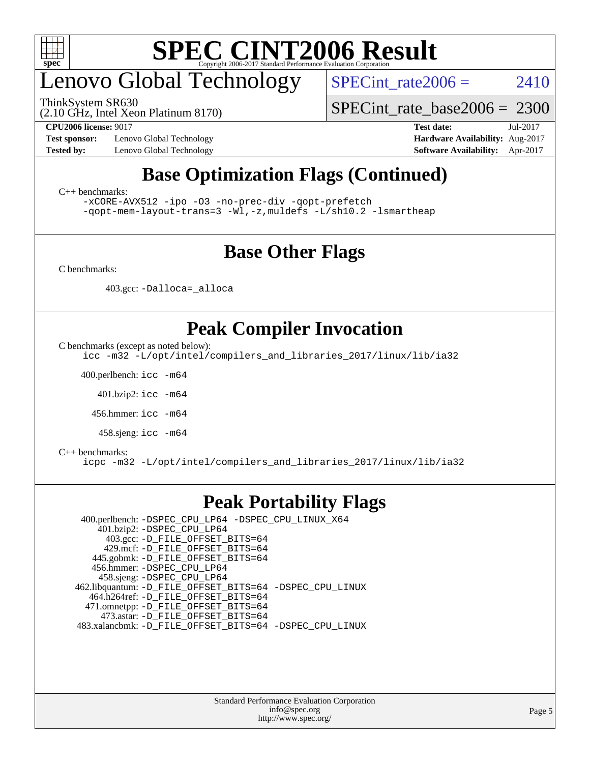

## enovo Global Technology

ThinkSystem SR630

SPECint rate  $2006 = 2410$ 

(2.10 GHz, Intel Xeon Platinum 8170)

**[CPU2006 license:](http://www.spec.org/auto/cpu2006/Docs/result-fields.html#CPU2006license)** 9017 **[Test date:](http://www.spec.org/auto/cpu2006/Docs/result-fields.html#Testdate)** Jul-2017

**[Test sponsor:](http://www.spec.org/auto/cpu2006/Docs/result-fields.html#Testsponsor)** Lenovo Global Technology **[Hardware Availability:](http://www.spec.org/auto/cpu2006/Docs/result-fields.html#HardwareAvailability)** Aug-2017

[SPECint\\_rate\\_base2006 =](http://www.spec.org/auto/cpu2006/Docs/result-fields.html#SPECintratebase2006) 2300

**[Tested by:](http://www.spec.org/auto/cpu2006/Docs/result-fields.html#Testedby)** Lenovo Global Technology **[Software Availability:](http://www.spec.org/auto/cpu2006/Docs/result-fields.html#SoftwareAvailability)** Apr-2017

### **[Base Optimization Flags \(Continued\)](http://www.spec.org/auto/cpu2006/Docs/result-fields.html#BaseOptimizationFlags)**

[C++ benchmarks:](http://www.spec.org/auto/cpu2006/Docs/result-fields.html#CXXbenchmarks)

[-xCORE-AVX512](http://www.spec.org/cpu2006/results/res2017q4/cpu2006-20170918-49582.flags.html#user_CXXbase_f-xCORE-AVX512) [-ipo](http://www.spec.org/cpu2006/results/res2017q4/cpu2006-20170918-49582.flags.html#user_CXXbase_f-ipo) [-O3](http://www.spec.org/cpu2006/results/res2017q4/cpu2006-20170918-49582.flags.html#user_CXXbase_f-O3) [-no-prec-div](http://www.spec.org/cpu2006/results/res2017q4/cpu2006-20170918-49582.flags.html#user_CXXbase_f-no-prec-div) [-qopt-prefetch](http://www.spec.org/cpu2006/results/res2017q4/cpu2006-20170918-49582.flags.html#user_CXXbase_f-qopt-prefetch) [-qopt-mem-layout-trans=3](http://www.spec.org/cpu2006/results/res2017q4/cpu2006-20170918-49582.flags.html#user_CXXbase_f-qopt-mem-layout-trans_170f5be61cd2cedc9b54468c59262d5d) [-Wl,-z,muldefs](http://www.spec.org/cpu2006/results/res2017q4/cpu2006-20170918-49582.flags.html#user_CXXbase_link_force_multiple1_74079c344b956b9658436fd1b6dd3a8a) [-L/sh10.2 -lsmartheap](http://www.spec.org/cpu2006/results/res2017q4/cpu2006-20170918-49582.flags.html#user_CXXbase_SmartHeap_b831f2d313e2fffa6dfe3f00ffc1f1c0)

### **[Base Other Flags](http://www.spec.org/auto/cpu2006/Docs/result-fields.html#BaseOtherFlags)**

[C benchmarks](http://www.spec.org/auto/cpu2006/Docs/result-fields.html#Cbenchmarks):

403.gcc: [-Dalloca=\\_alloca](http://www.spec.org/cpu2006/results/res2017q4/cpu2006-20170918-49582.flags.html#b403.gcc_baseEXTRA_CFLAGS_Dalloca_be3056838c12de2578596ca5467af7f3)

### **[Peak Compiler Invocation](http://www.spec.org/auto/cpu2006/Docs/result-fields.html#PeakCompilerInvocation)**

[C benchmarks \(except as noted below\)](http://www.spec.org/auto/cpu2006/Docs/result-fields.html#Cbenchmarksexceptasnotedbelow):

[icc -m32 -L/opt/intel/compilers\\_and\\_libraries\\_2017/linux/lib/ia32](http://www.spec.org/cpu2006/results/res2017q4/cpu2006-20170918-49582.flags.html#user_CCpeak_intel_icc_c29f3ff5a7ed067b11e4ec10a03f03ae)

400.perlbench: [icc -m64](http://www.spec.org/cpu2006/results/res2017q4/cpu2006-20170918-49582.flags.html#user_peakCCLD400_perlbench_intel_icc_64bit_bda6cc9af1fdbb0edc3795bac97ada53)

401.bzip2: [icc -m64](http://www.spec.org/cpu2006/results/res2017q4/cpu2006-20170918-49582.flags.html#user_peakCCLD401_bzip2_intel_icc_64bit_bda6cc9af1fdbb0edc3795bac97ada53)

456.hmmer: [icc -m64](http://www.spec.org/cpu2006/results/res2017q4/cpu2006-20170918-49582.flags.html#user_peakCCLD456_hmmer_intel_icc_64bit_bda6cc9af1fdbb0edc3795bac97ada53)

458.sjeng: [icc -m64](http://www.spec.org/cpu2006/results/res2017q4/cpu2006-20170918-49582.flags.html#user_peakCCLD458_sjeng_intel_icc_64bit_bda6cc9af1fdbb0edc3795bac97ada53)

#### [C++ benchmarks:](http://www.spec.org/auto/cpu2006/Docs/result-fields.html#CXXbenchmarks)

[icpc -m32 -L/opt/intel/compilers\\_and\\_libraries\\_2017/linux/lib/ia32](http://www.spec.org/cpu2006/results/res2017q4/cpu2006-20170918-49582.flags.html#user_CXXpeak_intel_icpc_8c35c7808b62dab9ae41a1aa06361b6b)

#### **[Peak Portability Flags](http://www.spec.org/auto/cpu2006/Docs/result-fields.html#PeakPortabilityFlags)**

 400.perlbench: [-DSPEC\\_CPU\\_LP64](http://www.spec.org/cpu2006/results/res2017q4/cpu2006-20170918-49582.flags.html#b400.perlbench_peakCPORTABILITY_DSPEC_CPU_LP64) [-DSPEC\\_CPU\\_LINUX\\_X64](http://www.spec.org/cpu2006/results/res2017q4/cpu2006-20170918-49582.flags.html#b400.perlbench_peakCPORTABILITY_DSPEC_CPU_LINUX_X64) 401.bzip2: [-DSPEC\\_CPU\\_LP64](http://www.spec.org/cpu2006/results/res2017q4/cpu2006-20170918-49582.flags.html#suite_peakCPORTABILITY401_bzip2_DSPEC_CPU_LP64) 403.gcc: [-D\\_FILE\\_OFFSET\\_BITS=64](http://www.spec.org/cpu2006/results/res2017q4/cpu2006-20170918-49582.flags.html#user_peakPORTABILITY403_gcc_file_offset_bits_64_438cf9856305ebd76870a2c6dc2689ab) 429.mcf: [-D\\_FILE\\_OFFSET\\_BITS=64](http://www.spec.org/cpu2006/results/res2017q4/cpu2006-20170918-49582.flags.html#user_peakPORTABILITY429_mcf_file_offset_bits_64_438cf9856305ebd76870a2c6dc2689ab) 445.gobmk: [-D\\_FILE\\_OFFSET\\_BITS=64](http://www.spec.org/cpu2006/results/res2017q4/cpu2006-20170918-49582.flags.html#user_peakPORTABILITY445_gobmk_file_offset_bits_64_438cf9856305ebd76870a2c6dc2689ab) 456.hmmer: [-DSPEC\\_CPU\\_LP64](http://www.spec.org/cpu2006/results/res2017q4/cpu2006-20170918-49582.flags.html#suite_peakCPORTABILITY456_hmmer_DSPEC_CPU_LP64) 458.sjeng: [-DSPEC\\_CPU\\_LP64](http://www.spec.org/cpu2006/results/res2017q4/cpu2006-20170918-49582.flags.html#suite_peakCPORTABILITY458_sjeng_DSPEC_CPU_LP64) 462.libquantum: [-D\\_FILE\\_OFFSET\\_BITS=64](http://www.spec.org/cpu2006/results/res2017q4/cpu2006-20170918-49582.flags.html#user_peakPORTABILITY462_libquantum_file_offset_bits_64_438cf9856305ebd76870a2c6dc2689ab) [-DSPEC\\_CPU\\_LINUX](http://www.spec.org/cpu2006/results/res2017q4/cpu2006-20170918-49582.flags.html#b462.libquantum_peakCPORTABILITY_DSPEC_CPU_LINUX) 464.h264ref: [-D\\_FILE\\_OFFSET\\_BITS=64](http://www.spec.org/cpu2006/results/res2017q4/cpu2006-20170918-49582.flags.html#user_peakPORTABILITY464_h264ref_file_offset_bits_64_438cf9856305ebd76870a2c6dc2689ab) 471.omnetpp: [-D\\_FILE\\_OFFSET\\_BITS=64](http://www.spec.org/cpu2006/results/res2017q4/cpu2006-20170918-49582.flags.html#user_peakPORTABILITY471_omnetpp_file_offset_bits_64_438cf9856305ebd76870a2c6dc2689ab) 473.astar: [-D\\_FILE\\_OFFSET\\_BITS=64](http://www.spec.org/cpu2006/results/res2017q4/cpu2006-20170918-49582.flags.html#user_peakPORTABILITY473_astar_file_offset_bits_64_438cf9856305ebd76870a2c6dc2689ab) 483.xalancbmk: [-D\\_FILE\\_OFFSET\\_BITS=64](http://www.spec.org/cpu2006/results/res2017q4/cpu2006-20170918-49582.flags.html#user_peakPORTABILITY483_xalancbmk_file_offset_bits_64_438cf9856305ebd76870a2c6dc2689ab) [-DSPEC\\_CPU\\_LINUX](http://www.spec.org/cpu2006/results/res2017q4/cpu2006-20170918-49582.flags.html#b483.xalancbmk_peakCXXPORTABILITY_DSPEC_CPU_LINUX)

> Standard Performance Evaluation Corporation [info@spec.org](mailto:info@spec.org) <http://www.spec.org/>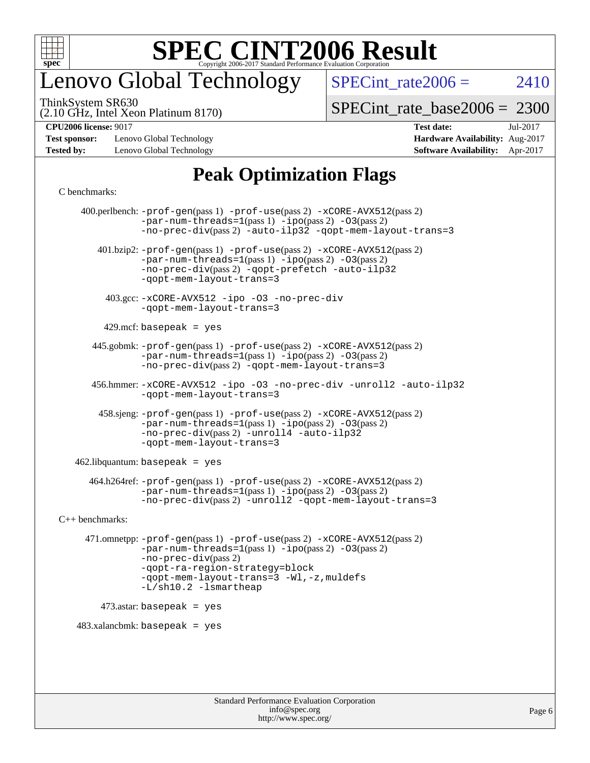

## enovo Global Technology

SPECint rate  $2006 = 2410$ 

(2.10 GHz, Intel Xeon Platinum 8170) ThinkSystem SR630

[SPECint\\_rate\\_base2006 =](http://www.spec.org/auto/cpu2006/Docs/result-fields.html#SPECintratebase2006) 2300

**[Test sponsor:](http://www.spec.org/auto/cpu2006/Docs/result-fields.html#Testsponsor)** Lenovo Global Technology **[Hardware Availability:](http://www.spec.org/auto/cpu2006/Docs/result-fields.html#HardwareAvailability)** Aug-2017 **[Tested by:](http://www.spec.org/auto/cpu2006/Docs/result-fields.html#Testedby)** Lenovo Global Technology **[Software Availability:](http://www.spec.org/auto/cpu2006/Docs/result-fields.html#SoftwareAvailability)** Apr-2017

**[CPU2006 license:](http://www.spec.org/auto/cpu2006/Docs/result-fields.html#CPU2006license)** 9017 **[Test date:](http://www.spec.org/auto/cpu2006/Docs/result-fields.html#Testdate)** Jul-2017

### **[Peak Optimization Flags](http://www.spec.org/auto/cpu2006/Docs/result-fields.html#PeakOptimizationFlags)**

#### [C benchmarks](http://www.spec.org/auto/cpu2006/Docs/result-fields.html#Cbenchmarks):

 400.perlbench: [-prof-gen](http://www.spec.org/cpu2006/results/res2017q4/cpu2006-20170918-49582.flags.html#user_peakPASS1_CFLAGSPASS1_LDCFLAGS400_perlbench_prof_gen_e43856698f6ca7b7e442dfd80e94a8fc)(pass 1) [-prof-use](http://www.spec.org/cpu2006/results/res2017q4/cpu2006-20170918-49582.flags.html#user_peakPASS2_CFLAGSPASS2_LDCFLAGS400_perlbench_prof_use_bccf7792157ff70d64e32fe3e1250b55)(pass 2) [-xCORE-AVX512](http://www.spec.org/cpu2006/results/res2017q4/cpu2006-20170918-49582.flags.html#user_peakPASS2_CFLAGSPASS2_LDCFLAGS400_perlbench_f-xCORE-AVX512)(pass 2)  $-par-num-threads=1(pass 1) -ipo(pass 2) -O3(pass 2)$  $-par-num-threads=1(pass 1) -ipo(pass 2) -O3(pass 2)$  $-par-num-threads=1(pass 1) -ipo(pass 2) -O3(pass 2)$  $-par-num-threads=1(pass 1) -ipo(pass 2) -O3(pass 2)$  $-par-num-threads=1(pass 1) -ipo(pass 2) -O3(pass 2)$  $-par-num-threads=1(pass 1) -ipo(pass 2) -O3(pass 2)$ [-no-prec-div](http://www.spec.org/cpu2006/results/res2017q4/cpu2006-20170918-49582.flags.html#user_peakPASS2_CFLAGSPASS2_LDCFLAGS400_perlbench_f-no-prec-div)(pass 2) [-auto-ilp32](http://www.spec.org/cpu2006/results/res2017q4/cpu2006-20170918-49582.flags.html#user_peakCOPTIMIZE400_perlbench_f-auto-ilp32) [-qopt-mem-layout-trans=3](http://www.spec.org/cpu2006/results/res2017q4/cpu2006-20170918-49582.flags.html#user_peakCOPTIMIZE400_perlbench_f-qopt-mem-layout-trans_170f5be61cd2cedc9b54468c59262d5d) 401.bzip2: [-prof-gen](http://www.spec.org/cpu2006/results/res2017q4/cpu2006-20170918-49582.flags.html#user_peakPASS1_CFLAGSPASS1_LDCFLAGS401_bzip2_prof_gen_e43856698f6ca7b7e442dfd80e94a8fc)(pass 1) [-prof-use](http://www.spec.org/cpu2006/results/res2017q4/cpu2006-20170918-49582.flags.html#user_peakPASS2_CFLAGSPASS2_LDCFLAGS401_bzip2_prof_use_bccf7792157ff70d64e32fe3e1250b55)(pass 2) [-xCORE-AVX512](http://www.spec.org/cpu2006/results/res2017q4/cpu2006-20170918-49582.flags.html#user_peakPASS2_CFLAGSPASS2_LDCFLAGS401_bzip2_f-xCORE-AVX512)(pass 2) [-par-num-threads=1](http://www.spec.org/cpu2006/results/res2017q4/cpu2006-20170918-49582.flags.html#user_peakPASS1_CFLAGSPASS1_LDCFLAGS401_bzip2_par_num_threads_786a6ff141b4e9e90432e998842df6c2)(pass 1) [-ipo](http://www.spec.org/cpu2006/results/res2017q4/cpu2006-20170918-49582.flags.html#user_peakPASS2_CFLAGSPASS2_LDCFLAGS401_bzip2_f-ipo)(pass 2) [-O3](http://www.spec.org/cpu2006/results/res2017q4/cpu2006-20170918-49582.flags.html#user_peakPASS2_CFLAGSPASS2_LDCFLAGS401_bzip2_f-O3)(pass 2) [-no-prec-div](http://www.spec.org/cpu2006/results/res2017q4/cpu2006-20170918-49582.flags.html#user_peakPASS2_CFLAGSPASS2_LDCFLAGS401_bzip2_f-no-prec-div)(pass 2) [-qopt-prefetch](http://www.spec.org/cpu2006/results/res2017q4/cpu2006-20170918-49582.flags.html#user_peakCOPTIMIZE401_bzip2_f-qopt-prefetch) [-auto-ilp32](http://www.spec.org/cpu2006/results/res2017q4/cpu2006-20170918-49582.flags.html#user_peakCOPTIMIZE401_bzip2_f-auto-ilp32) [-qopt-mem-layout-trans=3](http://www.spec.org/cpu2006/results/res2017q4/cpu2006-20170918-49582.flags.html#user_peakCOPTIMIZE401_bzip2_f-qopt-mem-layout-trans_170f5be61cd2cedc9b54468c59262d5d) 403.gcc: [-xCORE-AVX512](http://www.spec.org/cpu2006/results/res2017q4/cpu2006-20170918-49582.flags.html#user_peakOPTIMIZE403_gcc_f-xCORE-AVX512) [-ipo](http://www.spec.org/cpu2006/results/res2017q4/cpu2006-20170918-49582.flags.html#user_peakOPTIMIZE403_gcc_f-ipo) [-O3](http://www.spec.org/cpu2006/results/res2017q4/cpu2006-20170918-49582.flags.html#user_peakOPTIMIZE403_gcc_f-O3) [-no-prec-div](http://www.spec.org/cpu2006/results/res2017q4/cpu2006-20170918-49582.flags.html#user_peakOPTIMIZE403_gcc_f-no-prec-div) [-qopt-mem-layout-trans=3](http://www.spec.org/cpu2006/results/res2017q4/cpu2006-20170918-49582.flags.html#user_peakCOPTIMIZE403_gcc_f-qopt-mem-layout-trans_170f5be61cd2cedc9b54468c59262d5d)  $429$ .mcf: basepeak = yes 445.gobmk: [-prof-gen](http://www.spec.org/cpu2006/results/res2017q4/cpu2006-20170918-49582.flags.html#user_peakPASS1_CFLAGSPASS1_LDCFLAGS445_gobmk_prof_gen_e43856698f6ca7b7e442dfd80e94a8fc)(pass 1) [-prof-use](http://www.spec.org/cpu2006/results/res2017q4/cpu2006-20170918-49582.flags.html#user_peakPASS2_CFLAGSPASS2_LDCFLAGSPASS2_LDFLAGS445_gobmk_prof_use_bccf7792157ff70d64e32fe3e1250b55)(pass 2) [-xCORE-AVX512](http://www.spec.org/cpu2006/results/res2017q4/cpu2006-20170918-49582.flags.html#user_peakPASS2_CFLAGSPASS2_LDCFLAGSPASS2_LDFLAGS445_gobmk_f-xCORE-AVX512)(pass 2) [-par-num-threads=1](http://www.spec.org/cpu2006/results/res2017q4/cpu2006-20170918-49582.flags.html#user_peakPASS1_CFLAGSPASS1_LDCFLAGS445_gobmk_par_num_threads_786a6ff141b4e9e90432e998842df6c2)(pass 1) [-ipo](http://www.spec.org/cpu2006/results/res2017q4/cpu2006-20170918-49582.flags.html#user_peakPASS2_LDCFLAGS445_gobmk_f-ipo)(pass 2) [-O3](http://www.spec.org/cpu2006/results/res2017q4/cpu2006-20170918-49582.flags.html#user_peakPASS2_LDCFLAGS445_gobmk_f-O3)(pass 2) [-no-prec-div](http://www.spec.org/cpu2006/results/res2017q4/cpu2006-20170918-49582.flags.html#user_peakPASS2_LDCFLAGS445_gobmk_f-no-prec-div)(pass 2) [-qopt-mem-layout-trans=3](http://www.spec.org/cpu2006/results/res2017q4/cpu2006-20170918-49582.flags.html#user_peakCOPTIMIZE445_gobmk_f-qopt-mem-layout-trans_170f5be61cd2cedc9b54468c59262d5d) 456.hmmer: [-xCORE-AVX512](http://www.spec.org/cpu2006/results/res2017q4/cpu2006-20170918-49582.flags.html#user_peakOPTIMIZE456_hmmer_f-xCORE-AVX512) [-ipo](http://www.spec.org/cpu2006/results/res2017q4/cpu2006-20170918-49582.flags.html#user_peakOPTIMIZE456_hmmer_f-ipo) [-O3](http://www.spec.org/cpu2006/results/res2017q4/cpu2006-20170918-49582.flags.html#user_peakOPTIMIZE456_hmmer_f-O3) [-no-prec-div](http://www.spec.org/cpu2006/results/res2017q4/cpu2006-20170918-49582.flags.html#user_peakOPTIMIZE456_hmmer_f-no-prec-div) [-unroll2](http://www.spec.org/cpu2006/results/res2017q4/cpu2006-20170918-49582.flags.html#user_peakCOPTIMIZE456_hmmer_f-unroll_784dae83bebfb236979b41d2422d7ec2) [-auto-ilp32](http://www.spec.org/cpu2006/results/res2017q4/cpu2006-20170918-49582.flags.html#user_peakCOPTIMIZE456_hmmer_f-auto-ilp32) [-qopt-mem-layout-trans=3](http://www.spec.org/cpu2006/results/res2017q4/cpu2006-20170918-49582.flags.html#user_peakCOPTIMIZE456_hmmer_f-qopt-mem-layout-trans_170f5be61cd2cedc9b54468c59262d5d) 458.sjeng: [-prof-gen](http://www.spec.org/cpu2006/results/res2017q4/cpu2006-20170918-49582.flags.html#user_peakPASS1_CFLAGSPASS1_LDCFLAGS458_sjeng_prof_gen_e43856698f6ca7b7e442dfd80e94a8fc)(pass 1) [-prof-use](http://www.spec.org/cpu2006/results/res2017q4/cpu2006-20170918-49582.flags.html#user_peakPASS2_CFLAGSPASS2_LDCFLAGS458_sjeng_prof_use_bccf7792157ff70d64e32fe3e1250b55)(pass 2) [-xCORE-AVX512](http://www.spec.org/cpu2006/results/res2017q4/cpu2006-20170918-49582.flags.html#user_peakPASS2_CFLAGSPASS2_LDCFLAGS458_sjeng_f-xCORE-AVX512)(pass 2) [-par-num-threads=1](http://www.spec.org/cpu2006/results/res2017q4/cpu2006-20170918-49582.flags.html#user_peakPASS1_CFLAGSPASS1_LDCFLAGS458_sjeng_par_num_threads_786a6ff141b4e9e90432e998842df6c2)(pass 1) [-ipo](http://www.spec.org/cpu2006/results/res2017q4/cpu2006-20170918-49582.flags.html#user_peakPASS2_CFLAGSPASS2_LDCFLAGS458_sjeng_f-ipo)(pass 2) [-O3](http://www.spec.org/cpu2006/results/res2017q4/cpu2006-20170918-49582.flags.html#user_peakPASS2_CFLAGSPASS2_LDCFLAGS458_sjeng_f-O3)(pass 2) [-no-prec-div](http://www.spec.org/cpu2006/results/res2017q4/cpu2006-20170918-49582.flags.html#user_peakPASS2_CFLAGSPASS2_LDCFLAGS458_sjeng_f-no-prec-div)(pass 2) [-unroll4](http://www.spec.org/cpu2006/results/res2017q4/cpu2006-20170918-49582.flags.html#user_peakCOPTIMIZE458_sjeng_f-unroll_4e5e4ed65b7fd20bdcd365bec371b81f) [-auto-ilp32](http://www.spec.org/cpu2006/results/res2017q4/cpu2006-20170918-49582.flags.html#user_peakCOPTIMIZE458_sjeng_f-auto-ilp32) [-qopt-mem-layout-trans=3](http://www.spec.org/cpu2006/results/res2017q4/cpu2006-20170918-49582.flags.html#user_peakCOPTIMIZE458_sjeng_f-qopt-mem-layout-trans_170f5be61cd2cedc9b54468c59262d5d)  $462$ .libquantum: basepeak = yes 464.h264ref: [-prof-gen](http://www.spec.org/cpu2006/results/res2017q4/cpu2006-20170918-49582.flags.html#user_peakPASS1_CFLAGSPASS1_LDCFLAGS464_h264ref_prof_gen_e43856698f6ca7b7e442dfd80e94a8fc)(pass 1) [-prof-use](http://www.spec.org/cpu2006/results/res2017q4/cpu2006-20170918-49582.flags.html#user_peakPASS2_CFLAGSPASS2_LDCFLAGS464_h264ref_prof_use_bccf7792157ff70d64e32fe3e1250b55)(pass 2) [-xCORE-AVX512](http://www.spec.org/cpu2006/results/res2017q4/cpu2006-20170918-49582.flags.html#user_peakPASS2_CFLAGSPASS2_LDCFLAGS464_h264ref_f-xCORE-AVX512)(pass 2) [-par-num-threads=1](http://www.spec.org/cpu2006/results/res2017q4/cpu2006-20170918-49582.flags.html#user_peakPASS1_CFLAGSPASS1_LDCFLAGS464_h264ref_par_num_threads_786a6ff141b4e9e90432e998842df6c2)(pass 1) [-ipo](http://www.spec.org/cpu2006/results/res2017q4/cpu2006-20170918-49582.flags.html#user_peakPASS2_CFLAGSPASS2_LDCFLAGS464_h264ref_f-ipo)(pass 2) [-O3](http://www.spec.org/cpu2006/results/res2017q4/cpu2006-20170918-49582.flags.html#user_peakPASS2_CFLAGSPASS2_LDCFLAGS464_h264ref_f-O3)(pass 2) [-no-prec-div](http://www.spec.org/cpu2006/results/res2017q4/cpu2006-20170918-49582.flags.html#user_peakPASS2_CFLAGSPASS2_LDCFLAGS464_h264ref_f-no-prec-div)(pass 2) [-unroll2](http://www.spec.org/cpu2006/results/res2017q4/cpu2006-20170918-49582.flags.html#user_peakCOPTIMIZE464_h264ref_f-unroll_784dae83bebfb236979b41d2422d7ec2) [-qopt-mem-layout-trans=3](http://www.spec.org/cpu2006/results/res2017q4/cpu2006-20170918-49582.flags.html#user_peakCOPTIMIZE464_h264ref_f-qopt-mem-layout-trans_170f5be61cd2cedc9b54468c59262d5d) [C++ benchmarks:](http://www.spec.org/auto/cpu2006/Docs/result-fields.html#CXXbenchmarks) 471.omnetpp: [-prof-gen](http://www.spec.org/cpu2006/results/res2017q4/cpu2006-20170918-49582.flags.html#user_peakPASS1_CXXFLAGSPASS1_LDCXXFLAGS471_omnetpp_prof_gen_e43856698f6ca7b7e442dfd80e94a8fc)(pass 1) [-prof-use](http://www.spec.org/cpu2006/results/res2017q4/cpu2006-20170918-49582.flags.html#user_peakPASS2_CXXFLAGSPASS2_LDCXXFLAGS471_omnetpp_prof_use_bccf7792157ff70d64e32fe3e1250b55)(pass 2) [-xCORE-AVX512](http://www.spec.org/cpu2006/results/res2017q4/cpu2006-20170918-49582.flags.html#user_peakPASS2_CXXFLAGSPASS2_LDCXXFLAGS471_omnetpp_f-xCORE-AVX512)(pass 2) [-par-num-threads=1](http://www.spec.org/cpu2006/results/res2017q4/cpu2006-20170918-49582.flags.html#user_peakPASS1_CXXFLAGSPASS1_LDCXXFLAGS471_omnetpp_par_num_threads_786a6ff141b4e9e90432e998842df6c2)(pass 1) [-ipo](http://www.spec.org/cpu2006/results/res2017q4/cpu2006-20170918-49582.flags.html#user_peakPASS2_CXXFLAGSPASS2_LDCXXFLAGS471_omnetpp_f-ipo)(pass 2) [-O3](http://www.spec.org/cpu2006/results/res2017q4/cpu2006-20170918-49582.flags.html#user_peakPASS2_CXXFLAGSPASS2_LDCXXFLAGS471_omnetpp_f-O3)(pass 2) [-no-prec-div](http://www.spec.org/cpu2006/results/res2017q4/cpu2006-20170918-49582.flags.html#user_peakPASS2_CXXFLAGSPASS2_LDCXXFLAGS471_omnetpp_f-no-prec-div)(pass 2) [-qopt-ra-region-strategy=block](http://www.spec.org/cpu2006/results/res2017q4/cpu2006-20170918-49582.flags.html#user_peakCXXOPTIMIZE471_omnetpp_f-qopt-ra-region-strategy_430aa8f7c220cbde92ae827fa8d9be32)  [-qopt-mem-layout-trans=3](http://www.spec.org/cpu2006/results/res2017q4/cpu2006-20170918-49582.flags.html#user_peakCXXOPTIMIZE471_omnetpp_f-qopt-mem-layout-trans_170f5be61cd2cedc9b54468c59262d5d) [-Wl,-z,muldefs](http://www.spec.org/cpu2006/results/res2017q4/cpu2006-20170918-49582.flags.html#user_peakEXTRA_LDFLAGS471_omnetpp_link_force_multiple1_74079c344b956b9658436fd1b6dd3a8a) [-L/sh10.2 -lsmartheap](http://www.spec.org/cpu2006/results/res2017q4/cpu2006-20170918-49582.flags.html#user_peakEXTRA_LIBS471_omnetpp_SmartHeap_b831f2d313e2fffa6dfe3f00ffc1f1c0) 473.astar: basepeak = yes  $483.xalanchmk: basepeak = yes$